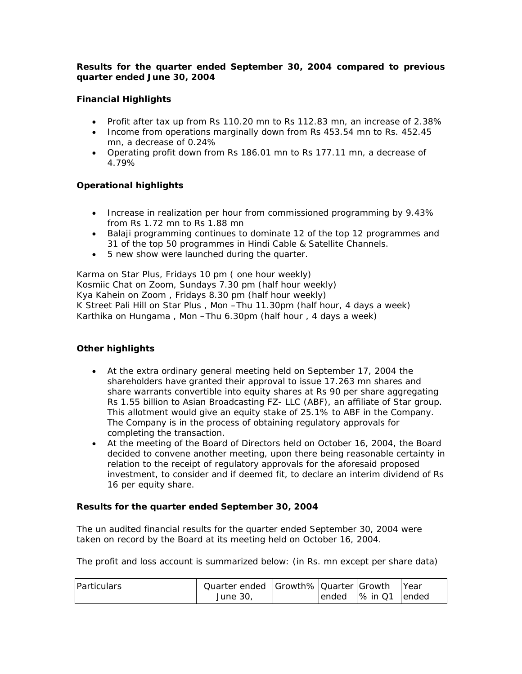# **R***esults for the quarter ended September 30, 2004 compared to previous quarter ended June 30, 2004*

# **Financial Highlights**

- Profit after tax up from Rs 110.20 mn to Rs 112.83 mn, an increase of 2.38%
- Income from operations marginally down from Rs 453.54 mn to Rs. 452.45 mn, a decrease of 0.24%
- Operating profit down from Rs 186.01 mn to Rs 177.11 mn, a decrease of 4.79%

# **Operational highlights**

- Increase in realization per hour from commissioned programming by 9.43% from Rs 1.72 mn to Rs 1.88 mn
- Balaji programming continues to dominate 12 of the top 12 programmes and 31 of the top 50 programmes in Hindi Cable & Satellite Channels.
- 5 new show were launched during the quarter.

Karma on Star Plus, Fridays 10 pm ( one hour weekly) Kosmiic Chat on Zoom, Sundays 7.30 pm (half hour weekly) Kya Kahein on Zoom , Fridays 8.30 pm (half hour weekly) K Street Pali Hill on Star Plus , Mon –Thu 11.30pm (half hour, 4 days a week) Karthika on Hungama , Mon –Thu 6.30pm (half hour , 4 days a week)

# **Other highlights**

- At the extra ordinary general meeting held on September 17, 2004 the shareholders have granted their approval to issue 17.263 mn shares and share warrants convertible into equity shares at Rs 90 per share aggregating Rs 1.55 billion to Asian Broadcasting FZ- LLC (ABF), an affiliate of Star group. This allotment would give an equity stake of 25.1% to ABF in the Company. The Company is in the process of obtaining regulatory approvals for completing the transaction.
- At the meeting of the Board of Directors held on October 16, 2004, the Board decided to convene another meeting, upon there being reasonable certainty in relation to the receipt of regulatory approvals for the aforesaid proposed investment, to consider and if deemed fit, to declare an interim dividend of Rs 16 per equity share.

## **Results for the quarter ended September 30, 2004**

The un audited financial results for the quarter ended September 30, 2004 were taken on record by the Board at its meeting held on October 16, 2004.

The profit and loss account is summarized below: (in Rs. mn except per share data)

| Particulars | Quarter ended Growth% Quarter Growth Year |  |                                         |  |
|-------------|-------------------------------------------|--|-----------------------------------------|--|
|             | June 30.                                  |  | $l$ ended $\frac{1}{6}$ in Q1 $l$ ended |  |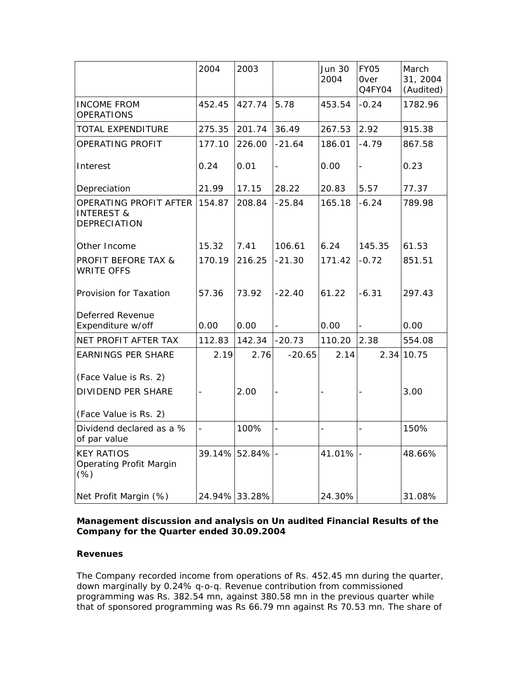|                                                                 | 2004           | 2003          |                | <b>Jun 30</b><br>2004 | FY05<br>0ver<br>Q4FY04 | March<br>31, 2004<br>(Audited) |
|-----------------------------------------------------------------|----------------|---------------|----------------|-----------------------|------------------------|--------------------------------|
| <b>INCOME FROM</b><br><b>OPERATIONS</b>                         | 452.45         | 427.74        | 5.78           | 453.54                | $-0.24$                | 1782.96                        |
| TOTAL EXPENDITURE                                               | 275.35         | 201.74        | 36.49          | 267.53                | 2.92                   | 915.38                         |
| OPERATING PROFIT                                                | 177.10         | 226.00        | $-21.64$       | 186.01                | $-4.79$                | 867.58                         |
| Interest                                                        | 0.24           | 0.01          |                | 0.00                  |                        | 0.23                           |
| Depreciation                                                    | 21.99          | 17.15         | 28.22          | 20.83                 | 5.57                   | 77.37                          |
| OPERATING PROFIT AFTER<br><b>INTEREST &amp;</b><br>DEPRECIATION | 154.87         | 208.84        | $-25.84$       | 165.18                | $-6.24$                | 789.98                         |
| Other Income                                                    | 15.32          | 7.41          | 106.61         | 6.24                  | 145.35                 | 61.53                          |
| PROFIT BEFORE TAX &<br><b>WRITE OFFS</b>                        | 170.19         | 216.25        | $-21.30$       | 171.42                | $-0.72$                | 851.51                         |
| Provision for Taxation                                          | 57.36          | 73.92         | $-22.40$       | 61.22                 | $-6.31$                | 297.43                         |
| Deferred Revenue<br>Expenditure w/off                           | 0.00           | 0.00          |                | 0.00                  |                        | 0.00                           |
| NET PROFIT AFTER TAX                                            | 112.83         | 142.34        | $-20.73$       | 110.20                | 2.38                   | 554.08                         |
| <b>EARNINGS PER SHARE</b><br>(Face Value is Rs. 2)              | 2.19           | 2.76          | $-20.65$       | 2.14                  |                        | 2.34 10.75                     |
| <b>DIVIDEND PER SHARE</b>                                       | $\overline{a}$ | 2.00          | $\blacksquare$ |                       |                        | 3.00                           |
| (Face Value is Rs. 2)                                           |                |               |                |                       |                        |                                |
| Dividend declared as a %<br>of par value                        | $\overline{a}$ | 100%          |                |                       | $\overline{a}$         | 150%                           |
| <b>KEY RATIOS</b><br><b>Operating Profit Margin</b><br>(% )     | 39.14%         | 52.84%        |                | 41.01%                | $\frac{1}{2}$          | 48.66%                         |
| Net Profit Margin (%)                                           |                | 24.94% 33.28% |                | 24.30%                |                        | 31.08%                         |

# **Management discussion and analysis on Un audited Financial Results of the Company for the Quarter ended 30.09.2004**

## **Revenues**

The Company recorded income from operations of Rs. 452.45 mn during the quarter, down marginally by 0.24% q-o-q. Revenue contribution from commissioned programming was Rs. 382.54 mn, against 380.58 mn in the previous quarter while that of sponsored programming was Rs 66.79 mn against Rs 70.53 mn. The share of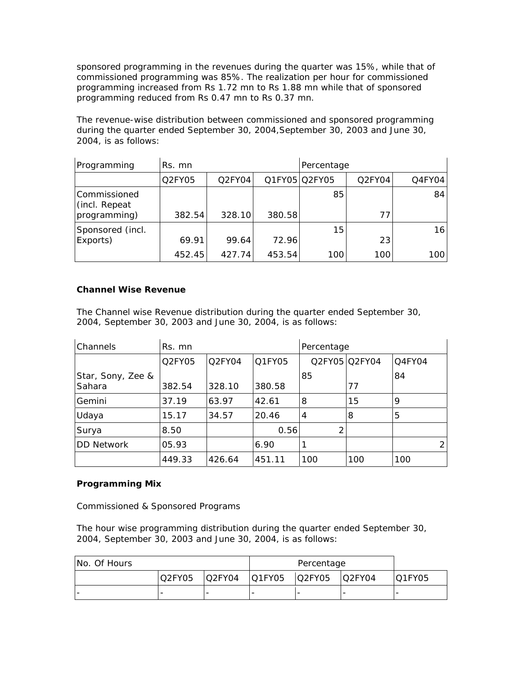sponsored programming in the revenues during the quarter was 15%, while that of commissioned programming was 85%. The realization per hour for commissioned programming increased from Rs 1.72 mn to Rs 1.88 mn while that of sponsored programming reduced from Rs 0.47 mn to Rs 0.37 mn.

The revenue-wise distribution between commissioned and sponsored programming during the quarter ended September 30, 2004,September 30, 2003 and June 30, 2004, is as follows:

| Programming                                    | Rs. mn |        |               | Percentage |        |                 |
|------------------------------------------------|--------|--------|---------------|------------|--------|-----------------|
|                                                | Q2FY05 | Q2FY04 | Q1FY05 Q2FY05 |            | Q2FY04 | Q4FY04          |
| Commissioned<br>(incl. Repeat)<br>programming) | 382.54 | 328.10 | 380.58        | 85         | 77     | 84              |
| Sponsored (incl.<br>Exports)                   | 69.91  | 99.64  | 72.96         | 15         | 23     | 16 <sub>l</sub> |
|                                                | 452.45 | 427.74 | 453.54        | 100        | 100    | 100             |

# **Channel Wise Revenue**

The Channel wise Revenue distribution during the quarter ended September 30, 2004, September 30, 2003 and June 30, 2004, is as follows:

| Channels                    | Rs. mn |                                 |        | Percentage    |     |        |
|-----------------------------|--------|---------------------------------|--------|---------------|-----|--------|
|                             | Q2FY05 | O <sub>2</sub> FY <sub>04</sub> | Q1FY05 | Q2FY05 Q2FY04 |     | Q4FY04 |
| Star, Sony, Zee &<br>Sahara | 382.54 | 328.10                          | 380.58 | 85            | 77  | 84     |
| Gemini                      | 37.19  | 63.97                           | 42.61  | 8             | 15  | 9      |
| Udaya                       | 15.17  | 34.57                           | 20.46  | 4             | 8   | 5      |
| Surya                       | 8.50   |                                 | 0.56   | 2             |     |        |
| <b>DD Network</b>           | 05.93  |                                 | 6.90   |               |     | 21     |
|                             | 449.33 | 426.64                          | 451.11 | 100           | 100 | 100    |

## **Programming Mix**

Commissioned & Sponsored Programs

The hour wise programming distribution during the quarter ended September 30, 2004, September 30, 2003 and June 30, 2004, is as follows:

| INo. Of Hours     |  |                        |  | Percentage |   |
|-------------------|--|------------------------|--|------------|---|
| lO2FY04<br>O2FY05 |  | Q1FY05  Q2FY05  Q2FY04 |  | IQ1FY05    |   |
|                   |  |                        |  |            | - |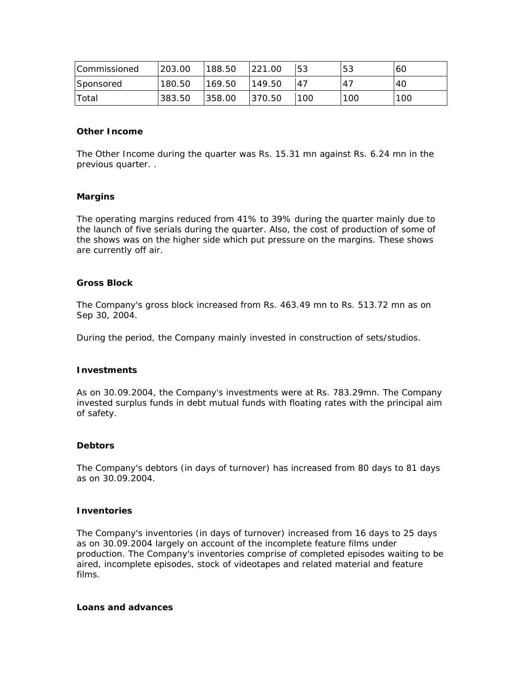| <b>ICommissioned</b> | 203.00 | 188.50 | 221.00  | 53  | 53  | -60 |
|----------------------|--------|--------|---------|-----|-----|-----|
| <b>Sponsored</b>     | 180.50 | 169.50 | 149.50  | 4   | 4   | -40 |
| Total                | 383.50 | 358.00 | 1370.50 | 100 | 100 | 100 |

### **Other Income**

The Other Income during the quarter was Rs. 15.31 mn against Rs. 6.24 mn in the previous quarter. .

### **Margins**

The operating margins reduced from 41% to 39% during the quarter mainly due to the launch of five serials during the quarter. Also, the cost of production of some of the shows was on the higher side which put pressure on the margins. These shows are currently off air.

### **Gross Block**

The Company's gross block increased from Rs. 463.49 mn to Rs. 513.72 mn as on Sep 30, 2004.

During the period, the Company mainly invested in construction of sets/studios.

### **Investments**

As on 30.09.2004, the Company's investments were at Rs. 783.29mn. The Company invested surplus funds in debt mutual funds with floating rates with the principal aim of safety.

### **Debtors**

The Company's debtors (in days of turnover) has increased from 80 days to 81 days as on 30.09.2004.

### **Inventories**

The Company's inventories (in days of turnover) increased from 16 days to 25 days as on 30.09.2004 largely on account of the incomplete feature films under production. The Company's inventories comprise of completed episodes waiting to be aired, incomplete episodes, stock of videotapes and related material and feature films.

### **Loans and advances**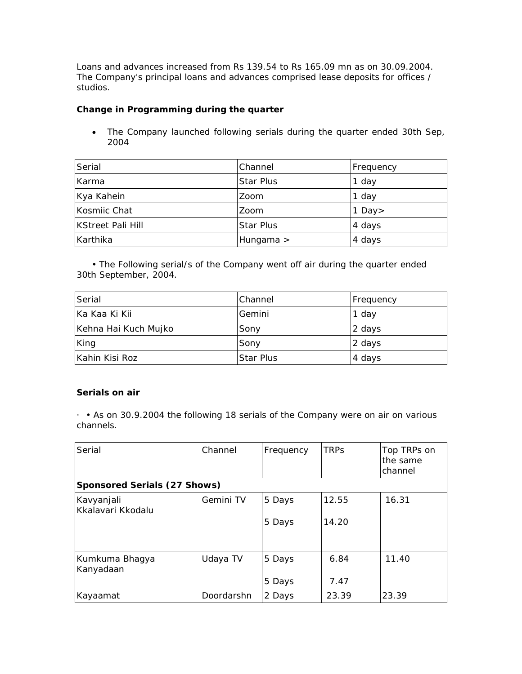Loans and advances increased from Rs 139.54 to Rs 165.09 mn as on 30.09.2004. The Company's principal loans and advances comprised lease deposits for offices / studios.

# **Change in Programming during the quarter**

• The Company launched following serials during the quarter ended 30th Sep, 2004

| Serial            | Channel          | Frequency |
|-------------------|------------------|-----------|
| l Karma           | <b>Star Plus</b> | 1 day     |
| Kya Kahein        | Zoom             | 1 day     |
| Kosmiic Chat      | Zoom             | 1 Day $>$ |
| KStreet Pali Hill | <b>Star Plus</b> | 4 days    |
| Karthika          | Hungama $>$      | 4 days    |

 • The Following serial/s of the Company went off air during the quarter ended 30th September, 2004.

| Serial               | Channel   | <b>IFrequency</b> |
|----------------------|-----------|-------------------|
| Ka Kaa Ki Kii        | Gemini    | 1 day             |
| Kehna Hai Kuch Mujko | Sony      | 2 days            |
| King                 | Sony      | 2 days            |
| Kahin Kisi Roz       | Star Plus | 4 days            |

## **Serials on air**

 $\overline{a}$ 

· • As on 30.9.2004 the following 18 serials of the Company were on air on various channels.

| Serial                          | Channel    | Frequency | <b>TRPS</b> | Top TRPs on<br>the same<br>channel |  |  |
|---------------------------------|------------|-----------|-------------|------------------------------------|--|--|
| Sponsored Serials (27 Shows)    |            |           |             |                                    |  |  |
| Kavyanjali<br>Kkalavari Kkodalu | Gemini TV  | 5 Days    | 12.55       | 16.31                              |  |  |
|                                 |            | 5 Days    | 14.20       |                                    |  |  |
|                                 |            |           |             |                                    |  |  |
| Kumkuma Bhagya<br>Kanyadaan     | Udaya TV   | 5 Days    | 6.84        | 11.40                              |  |  |
|                                 |            | 5 Days    | 7.47        |                                    |  |  |
| Kayaamat                        | Doordarshn | 2 Days    | 23.39       | 23.39                              |  |  |